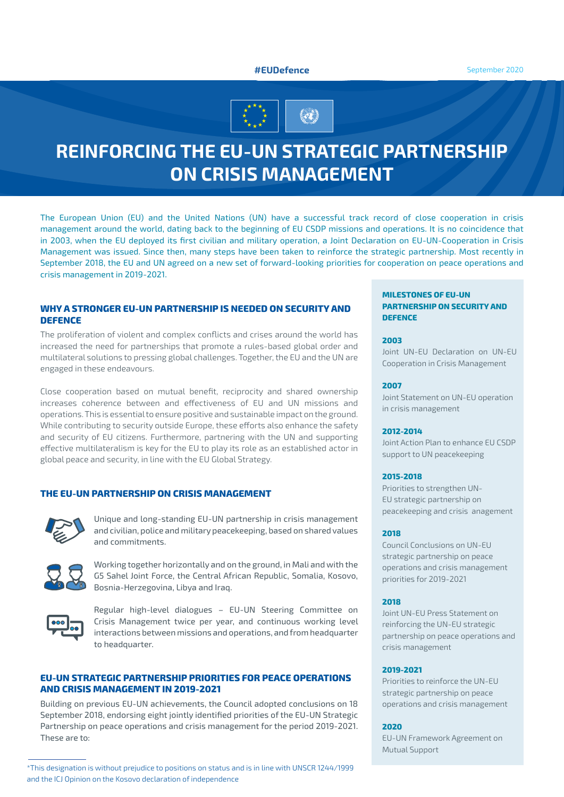# **#EUDefence** September 2020



# **REINFORCING THE EU-UN STRATEGIC PARTNERSHIP ON CRISIS MANAGEMENT**

The European Union (EU) and the United Nations (UN) have a successful track record of close cooperation in crisis management around the world, dating back to the beginning of EU CSDP missions and operations. It is no coincidence that in 2003, when the EU deployed its first civilian and military operation, a Joint Declaration on EU-UN-Cooperation in Crisis Management was issued. Since then, many steps have been taken to reinforce the strategic partnership. Most recently in September 2018, the EU and UN agreed on a new set of forward-looking priorities for cooperation on peace operations and crisis management in 2019-2021.

## **WHY A STRONGER EU-UN PARTNERSHIP IS NEEDED ON SECURITY AND DEFENCE**

The proliferation of violent and complex conflicts and crises around the world has increased the need for partnerships that promote a rules-based global order and multilateral solutions to pressing global challenges. Together, the EU and the UN are engaged in these endeavours.

Close cooperation based on mutual benefit, reciprocity and shared ownership increases coherence between and effectiveness of EU and UN missions and operations. This is essential to ensure positive and sustainable impact on the ground. While contributing to security outside Europe, these efforts also enhance the safety and security of EU citizens. Furthermore, partnering with the UN and supporting effective multilateralism is key for the EU to play its role as an established actor in global peace and security, in line with the EU Global Strategy.

# **THE EU-UN PARTNERSHIP ON CRISIS MANAGEMENT**



Unique and long-standing EU-UN partnership in crisis management and civilian, police and military peacekeeping, based on shared values and commitments.



Working together horizontally and on the ground, in Mali and with the G5 Sahel Joint Force, the Central African Republic, Somalia, Kosovo, Bosnia-Herzegovina, Libya and Iraq.



Regular high-level dialogues – EU-UN Steering Committee on Crisis Management twice per year, and continuous working level interactions between missions and operations, and from headquarter to headquarter.

## **EU-UN STRATEGIC PARTNERSHIP PRIORITIES FOR PEACE OPERATIONS AND CRISIS MANAGEMENT IN 2019-2021**

Building on previous EU-UN achievements, the Council adopted conclusions on 18 September 2018, endorsing eight jointly identified priorities of the EU-UN Strategic Partnership on peace operations and crisis management for the period 2019-2021. These are to:

## **MILESTONES OF EU-UN PARTNERSHIP ON SECURITY AND DEFENCE**

#### **2003**

Joint UN-EU Declaration on UN-EU Cooperation in Crisis Management

#### **2007**

Joint Statement on UN-EU operation in crisis management

## **2012-2014**

Joint Action Plan to enhance EU CSDP support to UN peacekeeping

#### **2015-2018**

Priorities to strengthen UN-EU strategic partnership on peacekeeping and crisis anagement

## **2018**

Council Conclusions on UN-EU strategic partnership on peace operations and crisis management priorities for 2019-2021

## **2018**

Joint UN-EU Press Statement on reinforcing the UN-EU strategic partnership on peace operations and crisis management

## **2019-2021**

Priorities to reinforce the UN-EU strategic partnership on peace operations and crisis management

## **2020**

EU-UN Framework Agreement on Mutual Support

<sup>\*</sup>This designation is without prejudice to positions on status and is in line with UNSCR 1244/1999 and the ICJ Opinion on the Kosovo declaration of independence